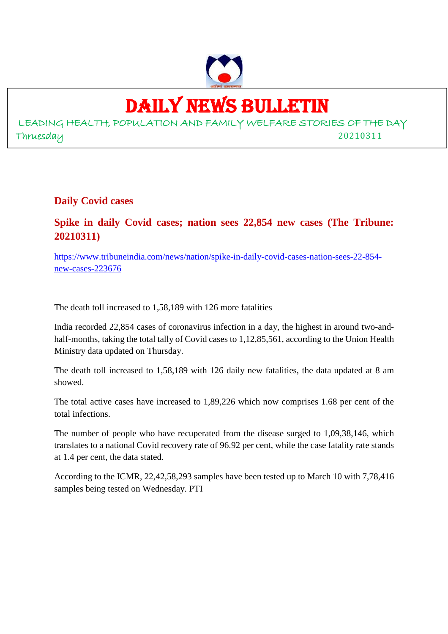

# DAILY NEWS BULLETIN

LEADING HEALTH, POPULATION AND FAMILY WELFARE STORIES OF THE DAY Thruesday 20210311

**Daily Covid cases**

**Spike in daily Covid cases; nation sees 22,854 new cases (The Tribune: 20210311)**

https://www.tribuneindia.com/news/nation/spike-in-daily-covid-cases-nation-sees-22-854 new-cases-223676

The death toll increased to 1,58,189 with 126 more fatalities

India recorded 22,854 cases of coronavirus infection in a day, the highest in around two-andhalf-months, taking the total tally of Covid cases to 1,12,85,561, according to the Union Health Ministry data updated on Thursday.

The death toll increased to 1,58,189 with 126 daily new fatalities, the data updated at 8 am showed.

The total active cases have increased to 1,89,226 which now comprises 1.68 per cent of the total infections.

The number of people who have recuperated from the disease surged to 1,09,38,146, which translates to a national Covid recovery rate of 96.92 per cent, while the case fatality rate stands at 1.4 per cent, the data stated.

According to the ICMR, 22,42,58,293 samples have been tested up to March 10 with 7,78,416 samples being tested on Wednesday. PTI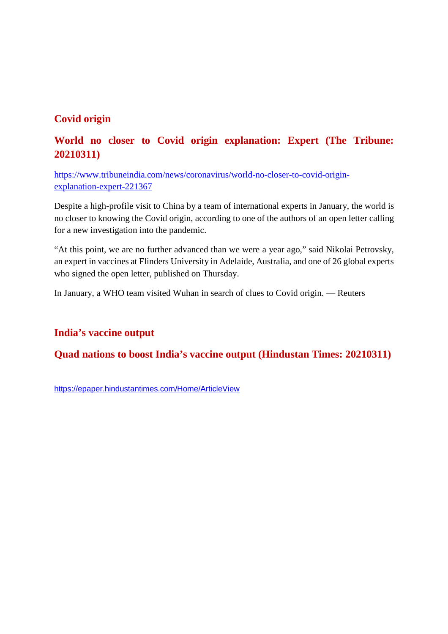## **Covid origin**

# **World no closer to Covid origin explanation: Expert (The Tribune: 20210311)**

https://www.tribuneindia.com/news/coronavirus/world-no-closer-to-covid-originexplanation-expert-221367

Despite a high-profile visit to China by a team of international experts in January, the world is no closer to knowing the Covid origin, according to one of the authors of an open letter calling for a new investigation into the pandemic.

"At this point, we are no further advanced than we were a year ago," said Nikolai Petrovsky, an expert in vaccines at Flinders University in Adelaide, Australia, and one of 26 global experts who signed the open letter, published on Thursday.

In January, a WHO team visited Wuhan in search of clues to Covid origin. — Reuters

#### **India's vaccine output**

#### **Quad nations to boost India's vaccine output (Hindustan Times: 20210311)**

https://epaper.hindustantimes.com/Home/ArticleView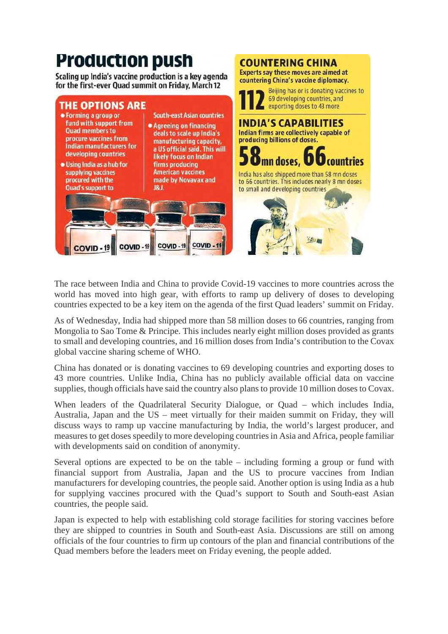

The race between India and China to provide Covid-19 vaccines to more countries across the world has moved into high gear, with efforts to ramp up delivery of doses to developing countries expected to be a key item on the agenda of the first Quad leaders' summit on Friday.

As of Wednesday, India had shipped more than 58 million doses to 66 countries, ranging from Mongolia to Sao Tome & Principe. This includes nearly eight million doses provided as grants to small and developing countries, and 16 million doses from India's contribution to the Covax global vaccine sharing scheme of WHO.

China has donated or is donating vaccines to 69 developing countries and exporting doses to 43 more countries. Unlike India, China has no publicly available official data on vaccine supplies, though officials have said the country also plans to provide 10 million doses to Covax.

When leaders of the Quadrilateral Security Dialogue, or Quad – which includes India, Australia, Japan and the US – meet virtually for their maiden summit on Friday, they will discuss ways to ramp up vaccine manufacturing by India, the world's largest producer, and measures to get doses speedily to more developing countries in Asia and Africa, people familiar with developments said on condition of anonymity.

Several options are expected to be on the table – including forming a group or fund with financial support from Australia, Japan and the US to procure vaccines from Indian manufacturers for developing countries, the people said. Another option is using India as a hub for supplying vaccines procured with the Quad's support to South and South-east Asian countries, the people said.

Japan is expected to help with establishing cold storage facilities for storing vaccines before they are shipped to countries in South and South-east Asia. Discussions are still on among officials of the four countries to firm up contours of the plan and financial contributions of the Quad members before the leaders meet on Friday evening, the people added.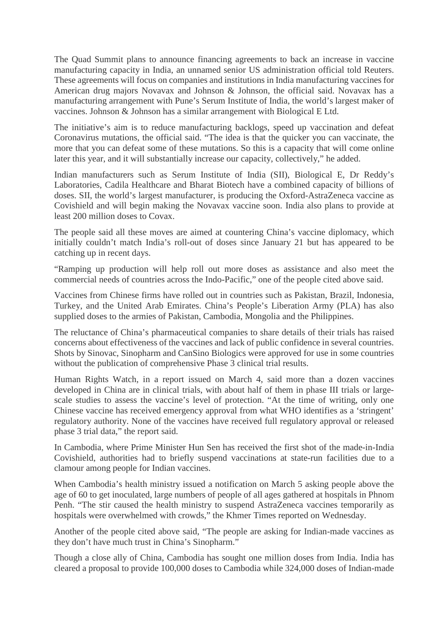The Quad Summit plans to announce financing agreements to back an increase in vaccine manufacturing capacity in India, an unnamed senior US administration official told Reuters. These agreements will focus on companies and institutions in India manufacturing vaccines for American drug majors Novavax and Johnson & Johnson, the official said. Novavax has a manufacturing arrangement with Pune's Serum Institute of India, the world's largest maker of vaccines. Johnson & Johnson has a similar arrangement with Biological E Ltd.

The initiative's aim is to reduce manufacturing backlogs, speed up vaccination and defeat Coronavirus mutations, the official said. "The idea is that the quicker you can vaccinate, the more that you can defeat some of these mutations. So this is a capacity that will come online later this year, and it will substantially increase our capacity, collectively," he added.

Indian manufacturers such as Serum Institute of India (SII), Biological E, Dr Reddy's Laboratories, Cadila Healthcare and Bharat Biotech have a combined capacity of billions of doses. SII, the world's largest manufacturer, is producing the Oxford-AstraZeneca vaccine as Covishield and will begin making the Novavax vaccine soon. India also plans to provide at least 200 million doses to Covax.

The people said all these moves are aimed at countering China's vaccine diplomacy, which initially couldn't match India's roll-out of doses since January 21 but has appeared to be catching up in recent days.

"Ramping up production will help roll out more doses as assistance and also meet the commercial needs of countries across the Indo-Pacific," one of the people cited above said.

Vaccines from Chinese firms have rolled out in countries such as Pakistan, Brazil, Indonesia, Turkey, and the United Arab Emirates. China's People's Liberation Army (PLA) has also supplied doses to the armies of Pakistan, Cambodia, Mongolia and the Philippines.

The reluctance of China's pharmaceutical companies to share details of their trials has raised concerns about effectiveness of the vaccines and lack of public confidence in several countries. Shots by Sinovac, Sinopharm and CanSino Biologics were approved for use in some countries without the publication of comprehensive Phase 3 clinical trial results.

Human Rights Watch, in a report issued on March 4, said more than a dozen vaccines developed in China are in clinical trials, with about half of them in phase III trials or largescale studies to assess the vaccine's level of protection. "At the time of writing, only one Chinese vaccine has received emergency approval from what WHO identifies as a 'stringent' regulatory authority. None of the vaccines have received full regulatory approval or released phase 3 trial data," the report said.

In Cambodia, where Prime Minister Hun Sen has received the first shot of the made-in-India Covishield, authorities had to briefly suspend vaccinations at state-run facilities due to a clamour among people for Indian vaccines.

When Cambodia's health ministry issued a notification on March 5 asking people above the age of 60 to get inoculated, large numbers of people of all ages gathered at hospitals in Phnom Penh. "The stir caused the health ministry to suspend AstraZeneca vaccines temporarily as hospitals were overwhelmed with crowds," the Khmer Times reported on Wednesday.

Another of the people cited above said, "The people are asking for Indian-made vaccines as they don't have much trust in China's Sinopharm."

Though a close ally of China, Cambodia has sought one million doses from India. India has cleared a proposal to provide 100,000 doses to Cambodia while 324,000 doses of Indian-made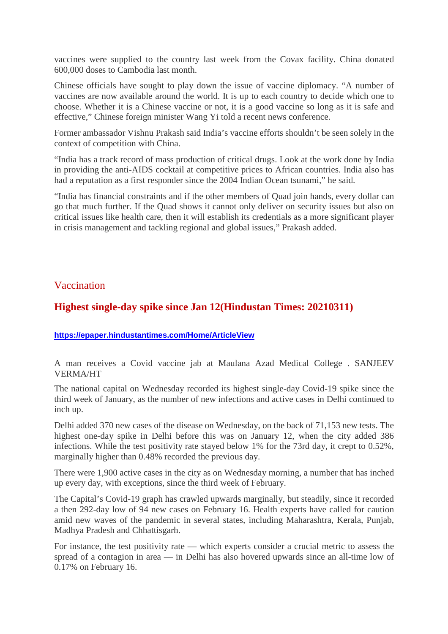vaccines were supplied to the country last week from the Covax facility. China donated 600,000 doses to Cambodia last month.

Chinese officials have sought to play down the issue of vaccine diplomacy. "A number of vaccines are now available around the world. It is up to each country to decide which one to choose. Whether it is a Chinese vaccine or not, it is a good vaccine so long as it is safe and effective," Chinese foreign minister Wang Yi told a recent news conference.

Former ambassador Vishnu Prakash said India's vaccine efforts shouldn't be seen solely in the context of competition with China.

"India has a track record of mass production of critical drugs. Look at the work done by India in providing the anti-AIDS cocktail at competitive prices to African countries. India also has had a reputation as a first responder since the 2004 Indian Ocean tsunami," he said.

"India has financial constraints and if the other members of Quad join hands, every dollar can go that much further. If the Quad shows it cannot only deliver on security issues but also on critical issues like health care, then it will establish its credentials as a more significant player in crisis management and tackling regional and global issues," Prakash added.

#### Vaccination

#### **Highest single-day spike since Jan 12(Hindustan Times: 20210311)**

#### **https://epaper.hindustantimes.com/Home/ArticleView**

A man receives a Covid vaccine jab at Maulana Azad Medical College . SANJEEV VERMA/HT

The national capital on Wednesday recorded its highest single-day Covid-19 spike since the third week of January, as the number of new infections and active cases in Delhi continued to inch up.

Delhi added 370 new cases of the disease on Wednesday, on the back of 71,153 new tests. The highest one-day spike in Delhi before this was on January 12, when the city added 386 infections. While the test positivity rate stayed below 1% for the 73rd day, it crept to 0.52%, marginally higher than 0.48% recorded the previous day.

There were 1,900 active cases in the city as on Wednesday morning, a number that has inched up every day, with exceptions, since the third week of February.

The Capital's Covid-19 graph has crawled upwards marginally, but steadily, since it recorded a then 292-day low of 94 new cases on February 16. Health experts have called for caution amid new waves of the pandemic in several states, including Maharashtra, Kerala, Punjab, Madhya Pradesh and Chhattisgarh.

For instance, the test positivity rate — which experts consider a crucial metric to assess the spread of a contagion in area — in Delhi has also hovered upwards since an all-time low of 0.17% on February 16.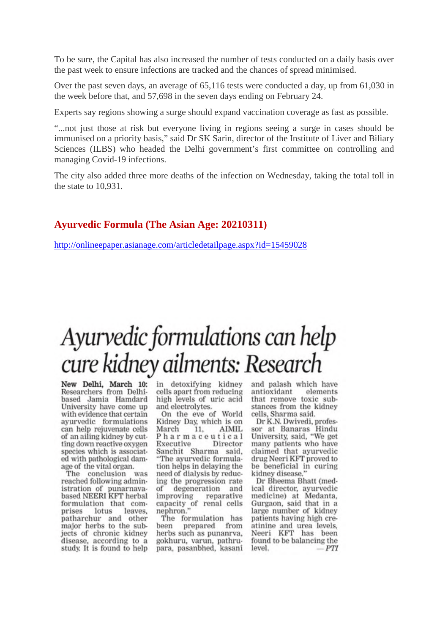To be sure, the Capital has also increased the number of tests conducted on a daily basis over the past week to ensure infections are tracked and the chances of spread minimised.

Over the past seven days, an average of 65,116 tests were conducted a day, up from 61,030 in the week before that, and 57,698 in the seven days ending on February 24.

Experts say regions showing a surge should expand vaccination coverage as fast as possible.

"...not just those at risk but everyone living in regions seeing a surge in cases should be immunised on a priority basis," said Dr SK Sarin, director of the Institute of Liver and Biliary Sciences (ILBS) who headed the Delhi government's first committee on controlling and managing Covid-19 infections.

The city also added three more deaths of the infection on Wednesday, taking the total toll in the state to 10,931.

#### **Ayurvedic Formula (The Asian Age: 20210311)**

http://onlineepaper.asianage.com/articledetailpage.aspx?id=15459028

# Ayurvedic formulations can help cure kidney ailments: Research

New Delhi, March 10: in detoxifying kidney Researchers from Delhibased Jamia Hamdard University have come up with evidence that certain ayurvedic formulations can help rejuvenate cells of an ailing kidney by cutting down reactive oxygen species which is associated with pathological damage of the vital organ.

The conclusion was reached following administration of punarnavabased NEERI KFT herbal formulation that comprises lotus leaves. patharchur and other major herbs to the subjects of chronic kidney disease, according to a study. It is found to help cells apart from reducing high levels of uric acid and electrolytes.

On the eve of World Kidney Day, which is on AIMIL March 11. Pharmaceutical Executive Director Sanchit Sharma said, "The avurvedic formulation helps in delaying the need of dialysis by reducing the progression rate of degeneration and improving reparative capacity of renal cells<br>nephron."

The formulation has from heen prepared herbs such as punanrva. gokhuru, varun, pathrupara, pasanbhed, kasani and palash which have elements antioxidant that remove toxic substances from the kidney cells, Sharma said.

Dr K.N. Dwivedi, professor at Banaras Hindu University, said, "We get many patients who have claimed that ayurvedic drug Neeri KFT proved to be beneficial in curing kidney disease.'

Dr Bheema Bhatt (medical director, ayurvedic medicine) at Medanta, Gurgaon, said that in a large number of kidney patients having high creatinine and urea levels, Neeri KFT has been found to be balancing the level.  $-PTI$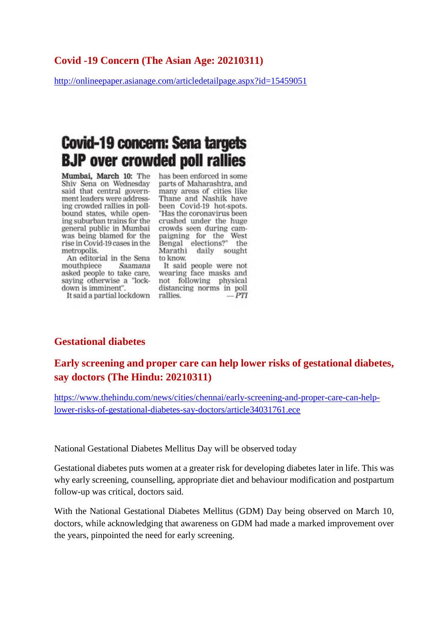#### **Covid -19 Concern (The Asian Age: 20210311)**

http://onlineepaper.asianage.com/articledetailpage.aspx?id=15459051

# **Covid-19 concern: Sena targets BJP** over crowded poll rallies

Mumbai, March 10: The Shiv Sena on Wednesday said that central government leaders were addressing crowded rallies in pollbound states, while opening suburban trains for the general public in Mumbai was being blamed for the rise in Covid-19 cases in the metropolis.

An editorial in the Sena mouthpiece Saamana asked people to take care, saying otherwise a "lockdown is imminent".

It said a partial lockdown rallies.

has been enforced in some parts of Maharashtra, and many areas of cities like<br>Thane and Nashik have been Covid-19 hot-spots. "Has the coronavirus been crushed under the huge crowds seen during campaigning for the West Bengal elections?" the Marathi daily sought to know.

It said people were not wearing face masks and not following physical distancing norms in poll  $-PTI$ 

#### **Gestational diabetes**

**Early screening and proper care can help lower risks of gestational diabetes, say doctors (The Hindu: 20210311)**

https://www.thehindu.com/news/cities/chennai/early-screening-and-proper-care-can-helplower-risks-of-gestational-diabetes-say-doctors/article34031761.ece

National Gestational Diabetes Mellitus Day will be observed today

Gestational diabetes puts women at a greater risk for developing diabetes later in life. This was why early screening, counselling, appropriate diet and behaviour modification and postpartum follow-up was critical, doctors said.

With the National Gestational Diabetes Mellitus (GDM) Day being observed on March 10, doctors, while acknowledging that awareness on GDM had made a marked improvement over the years, pinpointed the need for early screening.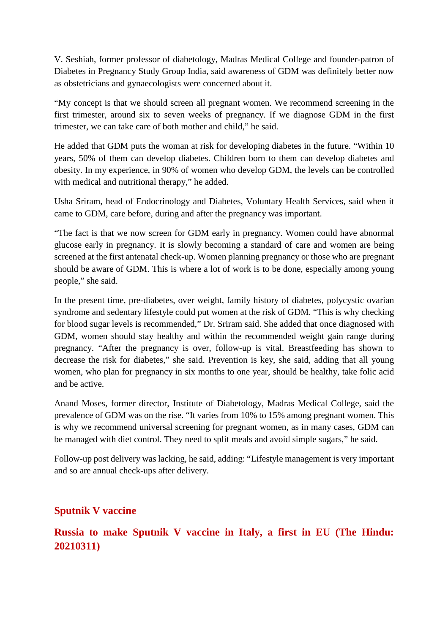V. Seshiah, former professor of diabetology, Madras Medical College and founder-patron of Diabetes in Pregnancy Study Group India, said awareness of GDM was definitely better now as obstetricians and gynaecologists were concerned about it.

"My concept is that we should screen all pregnant women. We recommend screening in the first trimester, around six to seven weeks of pregnancy. If we diagnose GDM in the first trimester, we can take care of both mother and child," he said.

He added that GDM puts the woman at risk for developing diabetes in the future. "Within 10 years, 50% of them can develop diabetes. Children born to them can develop diabetes and obesity. In my experience, in 90% of women who develop GDM, the levels can be controlled with medical and nutritional therapy," he added.

Usha Sriram, head of Endocrinology and Diabetes, Voluntary Health Services, said when it came to GDM, care before, during and after the pregnancy was important.

"The fact is that we now screen for GDM early in pregnancy. Women could have abnormal glucose early in pregnancy. It is slowly becoming a standard of care and women are being screened at the first antenatal check-up. Women planning pregnancy or those who are pregnant should be aware of GDM. This is where a lot of work is to be done, especially among young people," she said.

In the present time, pre-diabetes, over weight, family history of diabetes, polycystic ovarian syndrome and sedentary lifestyle could put women at the risk of GDM. "This is why checking for blood sugar levels is recommended," Dr. Sriram said. She added that once diagnosed with GDM, women should stay healthy and within the recommended weight gain range during pregnancy. "After the pregnancy is over, follow-up is vital. Breastfeeding has shown to decrease the risk for diabetes," she said. Prevention is key, she said, adding that all young women, who plan for pregnancy in six months to one year, should be healthy, take folic acid and be active.

Anand Moses, former director, Institute of Diabetology, Madras Medical College, said the prevalence of GDM was on the rise. "It varies from 10% to 15% among pregnant women. This is why we recommend universal screening for pregnant women, as in many cases, GDM can be managed with diet control. They need to split meals and avoid simple sugars," he said.

Follow-up post delivery was lacking, he said, adding: "Lifestyle management is very important and so are annual check-ups after delivery.

## **Sputnik V vaccine**

## **Russia to make Sputnik V vaccine in Italy, a first in EU (The Hindu: 20210311)**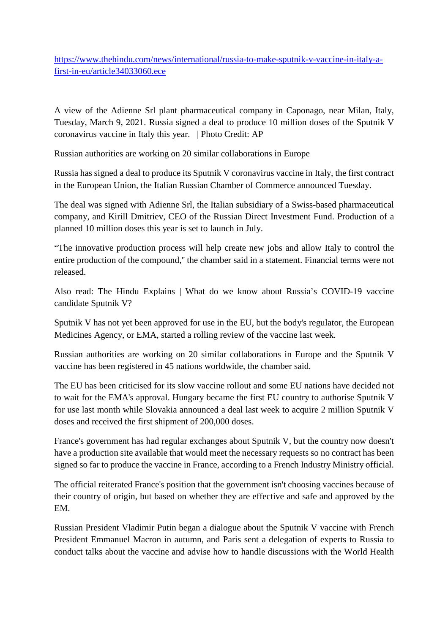https://www.thehindu.com/news/international/russia-to-make-sputnik-v-vaccine-in-italy-afirst-in-eu/article34033060.ece

A view of the Adienne Srl plant pharmaceutical company in Caponago, near Milan, Italy, Tuesday, March 9, 2021. Russia signed a deal to produce 10 million doses of the Sputnik V coronavirus vaccine in Italy this year. | Photo Credit: AP

Russian authorities are working on 20 similar collaborations in Europe

Russia has signed a deal to produce its Sputnik V coronavirus vaccine in Italy, the first contract in the European Union, the Italian Russian Chamber of Commerce announced Tuesday.

The deal was signed with Adienne Srl, the Italian subsidiary of a Swiss-based pharmaceutical company, and Kirill Dmitriev, CEO of the Russian Direct Investment Fund. Production of a planned 10 million doses this year is set to launch in July.

"The innovative production process will help create new jobs and allow Italy to control the entire production of the compound,'' the chamber said in a statement. Financial terms were not released.

Also read: The Hindu Explains | What do we know about Russia's COVID-19 vaccine candidate Sputnik V?

Sputnik V has not yet been approved for use in the EU, but the body's regulator, the European Medicines Agency, or EMA, started a rolling review of the vaccine last week.

Russian authorities are working on 20 similar collaborations in Europe and the Sputnik V vaccine has been registered in 45 nations worldwide, the chamber said.

The EU has been criticised for its slow vaccine rollout and some EU nations have decided not to wait for the EMA's approval. Hungary became the first EU country to authorise Sputnik V for use last month while Slovakia announced a deal last week to acquire 2 million Sputnik V doses and received the first shipment of 200,000 doses.

France's government has had regular exchanges about Sputnik V, but the country now doesn't have a production site available that would meet the necessary requests so no contract has been signed so far to produce the vaccine in France, according to a French Industry Ministry official.

The official reiterated France's position that the government isn't choosing vaccines because of their country of origin, but based on whether they are effective and safe and approved by the EM.

Russian President Vladimir Putin began a dialogue about the Sputnik V vaccine with French President Emmanuel Macron in autumn, and Paris sent a delegation of experts to Russia to conduct talks about the vaccine and advise how to handle discussions with the World Health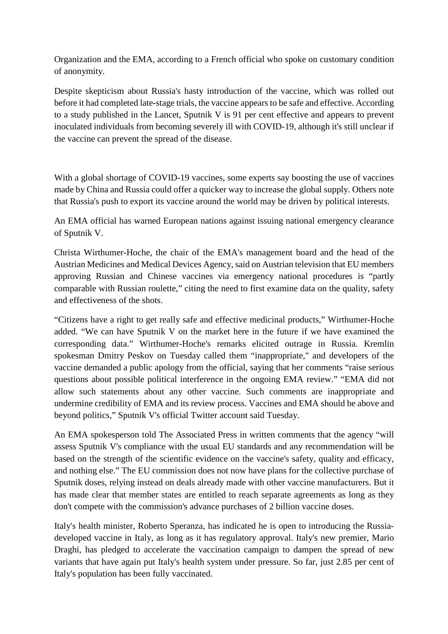Organization and the EMA, according to a French official who spoke on customary condition of anonymity.

Despite skepticism about Russia's hasty introduction of the vaccine, which was rolled out before it had completed late-stage trials, the vaccine appears to be safe and effective. According to a study published in the Lancet, Sputnik V is 91 per cent effective and appears to prevent inoculated individuals from becoming severely ill with COVID-19, although it's still unclear if the vaccine can prevent the spread of the disease.

With a global shortage of COVID-19 vaccines, some experts say boosting the use of vaccines made by China and Russia could offer a quicker way to increase the global supply. Others note that Russia's push to export its vaccine around the world may be driven by political interests.

An EMA official has warned European nations against issuing national emergency clearance of Sputnik V.

Christa Wirthumer-Hoche, the chair of the EMA's management board and the head of the Austrian Medicines and Medical Devices Agency, said on Austrian television that EU members approving Russian and Chinese vaccines via emergency national procedures is "partly comparable with Russian roulette," citing the need to first examine data on the quality, safety and effectiveness of the shots.

"Citizens have a right to get really safe and effective medicinal products," Wirthumer-Hoche added. "We can have Sputnik V on the market here in the future if we have examined the corresponding data." Wirthumer-Hoche's remarks elicited outrage in Russia. Kremlin spokesman Dmitry Peskov on Tuesday called them "inappropriate," and developers of the vaccine demanded a public apology from the official, saying that her comments "raise serious questions about possible political interference in the ongoing EMA review." "EMA did not allow such statements about any other vaccine. Such comments are inappropriate and undermine credibility of EMA and its review process. Vaccines and EMA should be above and beyond politics," Sputnik V's official Twitter account said Tuesday.

An EMA spokesperson told The Associated Press in written comments that the agency "will assess Sputnik V's compliance with the usual EU standards and any recommendation will be based on the strength of the scientific evidence on the vaccine's safety, quality and efficacy, and nothing else." The EU commission does not now have plans for the collective purchase of Sputnik doses, relying instead on deals already made with other vaccine manufacturers. But it has made clear that member states are entitled to reach separate agreements as long as they don't compete with the commission's advance purchases of 2 billion vaccine doses.

Italy's health minister, Roberto Speranza, has indicated he is open to introducing the Russiadeveloped vaccine in Italy, as long as it has regulatory approval. Italy's new premier, Mario Draghi, has pledged to accelerate the vaccination campaign to dampen the spread of new variants that have again put Italy's health system under pressure. So far, just 2.85 per cent of Italy's population has been fully vaccinated.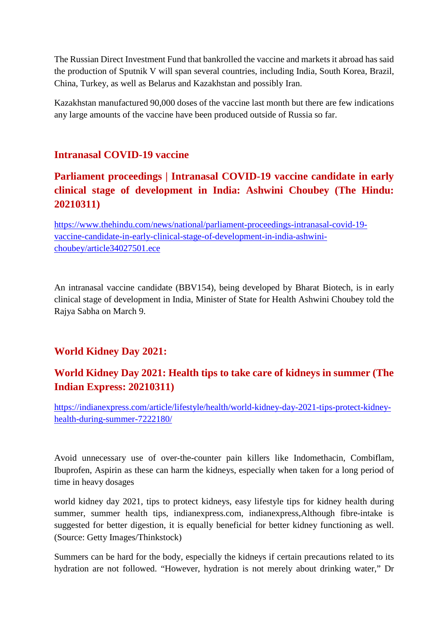The Russian Direct Investment Fund that bankrolled the vaccine and markets it abroad has said the production of Sputnik V will span several countries, including India, South Korea, Brazil, China, Turkey, as well as Belarus and Kazakhstan and possibly Iran.

Kazakhstan manufactured 90,000 doses of the vaccine last month but there are few indications any large amounts of the vaccine have been produced outside of Russia so far.

#### **Intranasal COVID-19 vaccine**

# **Parliament proceedings | Intranasal COVID-19 vaccine candidate in early clinical stage of development in India: Ashwini Choubey (The Hindu: 20210311)**

https://www.thehindu.com/news/national/parliament-proceedings-intranasal-covid-19 vaccine-candidate-in-early-clinical-stage-of-development-in-india-ashwinichoubey/article34027501.ece

An intranasal vaccine candidate (BBV154), being developed by Bharat Biotech, is in early clinical stage of development in India, Minister of State for Health Ashwini Choubey told the Rajya Sabha on March 9.

## **World Kidney Day 2021:**

# **World Kidney Day 2021: Health tips to take care of kidneys in summer (The Indian Express: 20210311)**

https://indianexpress.com/article/lifestyle/health/world-kidney-day-2021-tips-protect-kidneyhealth-during-summer-7222180/

Avoid unnecessary use of over-the-counter pain killers like Indomethacin, Combiflam, Ibuprofen, Aspirin as these can harm the kidneys, especially when taken for a long period of time in heavy dosages

world kidney day 2021, tips to protect kidneys, easy lifestyle tips for kidney health during summer, summer health tips, indianexpress.com, indianexpress,Although fibre-intake is suggested for better digestion, it is equally beneficial for better kidney functioning as well. (Source: Getty Images/Thinkstock)

Summers can be hard for the body, especially the kidneys if certain precautions related to its hydration are not followed. "However, hydration is not merely about drinking water," Dr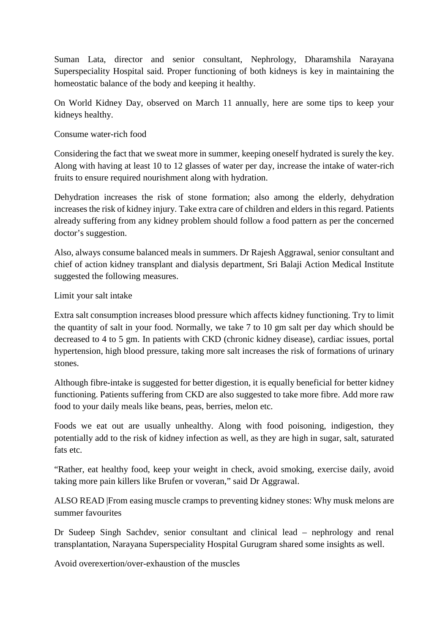Suman Lata, director and senior consultant, Nephrology, Dharamshila Narayana Superspeciality Hospital said. Proper functioning of both kidneys is key in maintaining the homeostatic balance of the body and keeping it healthy.

On World Kidney Day, observed on March 11 annually, here are some tips to keep your kidneys healthy.

#### Consume water-rich food

Considering the fact that we sweat more in summer, keeping oneself hydrated is surely the key. Along with having at least 10 to 12 glasses of water per day, increase the intake of water-rich fruits to ensure required nourishment along with hydration.

Dehydration increases the risk of stone formation; also among the elderly, dehydration increases the risk of kidney injury. Take extra care of children and elders in this regard. Patients already suffering from any kidney problem should follow a food pattern as per the concerned doctor's suggestion.

Also, always consume balanced meals in summers. Dr Rajesh Aggrawal, senior consultant and chief of action kidney transplant and dialysis department, Sri Balaji Action Medical Institute suggested the following measures.

#### Limit your salt intake

Extra salt consumption increases blood pressure which affects kidney functioning. Try to limit the quantity of salt in your food. Normally, we take 7 to 10 gm salt per day which should be decreased to 4 to 5 gm. In patients with CKD (chronic kidney disease), cardiac issues, portal hypertension, high blood pressure, taking more salt increases the risk of formations of urinary stones.

Although fibre-intake is suggested for better digestion, it is equally beneficial for better kidney functioning. Patients suffering from CKD are also suggested to take more fibre. Add more raw food to your daily meals like beans, peas, berries, melon etc.

Foods we eat out are usually unhealthy. Along with food poisoning, indigestion, they potentially add to the risk of kidney infection as well, as they are high in sugar, salt, saturated fats etc.

"Rather, eat healthy food, keep your weight in check, avoid smoking, exercise daily, avoid taking more pain killers like Brufen or voveran," said Dr Aggrawal.

ALSO READ |From easing muscle cramps to preventing kidney stones: Why musk melons are summer favourites

Dr Sudeep Singh Sachdev, senior consultant and clinical lead – nephrology and renal transplantation, Narayana Superspeciality Hospital Gurugram shared some insights as well.

Avoid overexertion/over-exhaustion of the muscles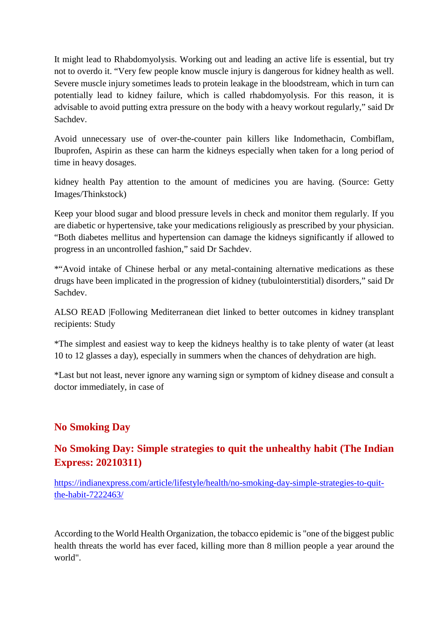It might lead to Rhabdomyolysis. Working out and leading an active life is essential, but try not to overdo it. "Very few people know muscle injury is dangerous for kidney health as well. Severe muscle injury sometimes leads to protein leakage in the bloodstream, which in turn can potentially lead to kidney failure, which is called rhabdomyolysis. For this reason, it is advisable to avoid putting extra pressure on the body with a heavy workout regularly," said Dr Sachdev.

Avoid unnecessary use of over-the-counter pain killers like Indomethacin, Combiflam, Ibuprofen, Aspirin as these can harm the kidneys especially when taken for a long period of time in heavy dosages.

kidney health Pay attention to the amount of medicines you are having. (Source: Getty Images/Thinkstock)

Keep your blood sugar and blood pressure levels in check and monitor them regularly. If you are diabetic or hypertensive, take your medications religiously as prescribed by your physician. "Both diabetes mellitus and hypertension can damage the kidneys significantly if allowed to progress in an uncontrolled fashion," said Dr Sachdev.

\*"Avoid intake of Chinese herbal or any metal-containing alternative medications as these drugs have been implicated in the progression of kidney (tubulointerstitial) disorders," said Dr Sachdev.

ALSO READ |Following Mediterranean diet linked to better outcomes in kidney transplant recipients: Study

\*The simplest and easiest way to keep the kidneys healthy is to take plenty of water (at least 10 to 12 glasses a day), especially in summers when the chances of dehydration are high.

\*Last but not least, never ignore any warning sign or symptom of kidney disease and consult a doctor immediately, in case of

## **No Smoking Day**

## **No Smoking Day: Simple strategies to quit the unhealthy habit (The Indian Express: 20210311)**

https://indianexpress.com/article/lifestyle/health/no-smoking-day-simple-strategies-to-quitthe-habit-7222463/

According to the World Health Organization, the tobacco epidemic is "one of the biggest public health threats the world has ever faced, killing more than 8 million people a year around the world".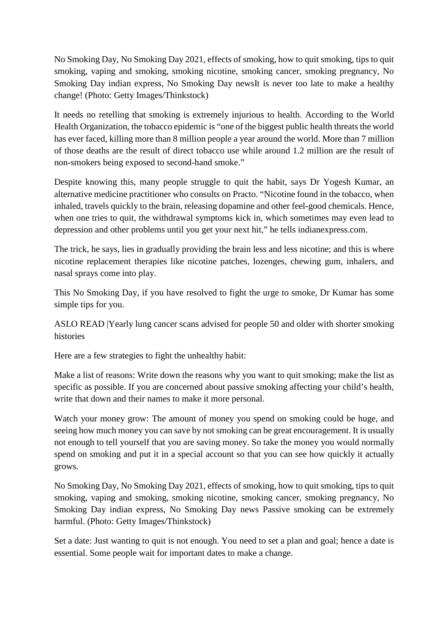No Smoking Day, No Smoking Day 2021, effects of smoking, how to quit smoking, tips to quit smoking, vaping and smoking, smoking nicotine, smoking cancer, smoking pregnancy, No Smoking Day indian express, No Smoking Day newsIt is never too late to make a healthy change! (Photo: Getty Images/Thinkstock)

It needs no retelling that smoking is extremely injurious to health. According to the World Health Organization, the tobacco epidemic is "one of the biggest public health threats the world has ever faced, killing more than 8 million people a year around the world. More than 7 million of those deaths are the result of direct tobacco use while around 1.2 million are the result of non-smokers being exposed to second-hand smoke."

Despite knowing this, many people struggle to quit the habit, says Dr Yogesh Kumar, an alternative medicine practitioner who consults on Practo. "Nicotine found in the tobacco, when inhaled, travels quickly to the brain, releasing dopamine and other feel-good chemicals. Hence, when one tries to quit, the withdrawal symptoms kick in, which sometimes may even lead to depression and other problems until you get your next hit," he tells indianexpress.com.

The trick, he says, lies in gradually providing the brain less and less nicotine; and this is where nicotine replacement therapies like nicotine patches, lozenges, chewing gum, inhalers, and nasal sprays come into play.

This No Smoking Day, if you have resolved to fight the urge to smoke, Dr Kumar has some simple tips for you.

ASLO READ |Yearly lung cancer scans advised for people 50 and older with shorter smoking histories

Here are a few strategies to fight the unhealthy habit:

Make a list of reasons: Write down the reasons why you want to quit smoking; make the list as specific as possible. If you are concerned about passive smoking affecting your child's health, write that down and their names to make it more personal.

Watch your money grow: The amount of money you spend on smoking could be huge, and seeing how much money you can save by not smoking can be great encouragement. It is usually not enough to tell yourself that you are saving money. So take the money you would normally spend on smoking and put it in a special account so that you can see how quickly it actually grows.

No Smoking Day, No Smoking Day 2021, effects of smoking, how to quit smoking, tips to quit smoking, vaping and smoking, smoking nicotine, smoking cancer, smoking pregnancy, No Smoking Day indian express, No Smoking Day news Passive smoking can be extremely harmful. (Photo: Getty Images/Thinkstock)

Set a date: Just wanting to quit is not enough. You need to set a plan and goal; hence a date is essential. Some people wait for important dates to make a change.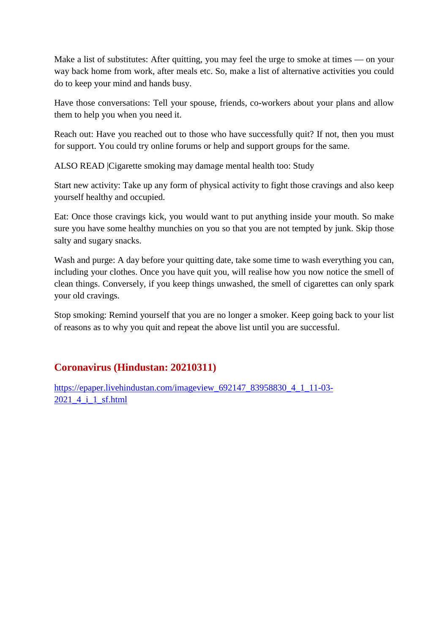Make a list of substitutes: After quitting, you may feel the urge to smoke at times — on your way back home from work, after meals etc. So, make a list of alternative activities you could do to keep your mind and hands busy.

Have those conversations: Tell your spouse, friends, co-workers about your plans and allow them to help you when you need it.

Reach out: Have you reached out to those who have successfully quit? If not, then you must for support. You could try online forums or help and support groups for the same.

ALSO READ |Cigarette smoking may damage mental health too: Study

Start new activity: Take up any form of physical activity to fight those cravings and also keep yourself healthy and occupied.

Eat: Once those cravings kick, you would want to put anything inside your mouth. So make sure you have some healthy munchies on you so that you are not tempted by junk. Skip those salty and sugary snacks.

Wash and purge: A day before your quitting date, take some time to wash everything you can, including your clothes. Once you have quit you, will realise how you now notice the smell of clean things. Conversely, if you keep things unwashed, the smell of cigarettes can only spark your old cravings.

Stop smoking: Remind yourself that you are no longer a smoker. Keep going back to your list of reasons as to why you quit and repeat the above list until you are successful.

## **Coronavirus (Hindustan: 20210311)**

https://epaper.livehindustan.com/imageview\_692147\_83958830\_4\_1\_11-03-2021 4 i 1 sf.html